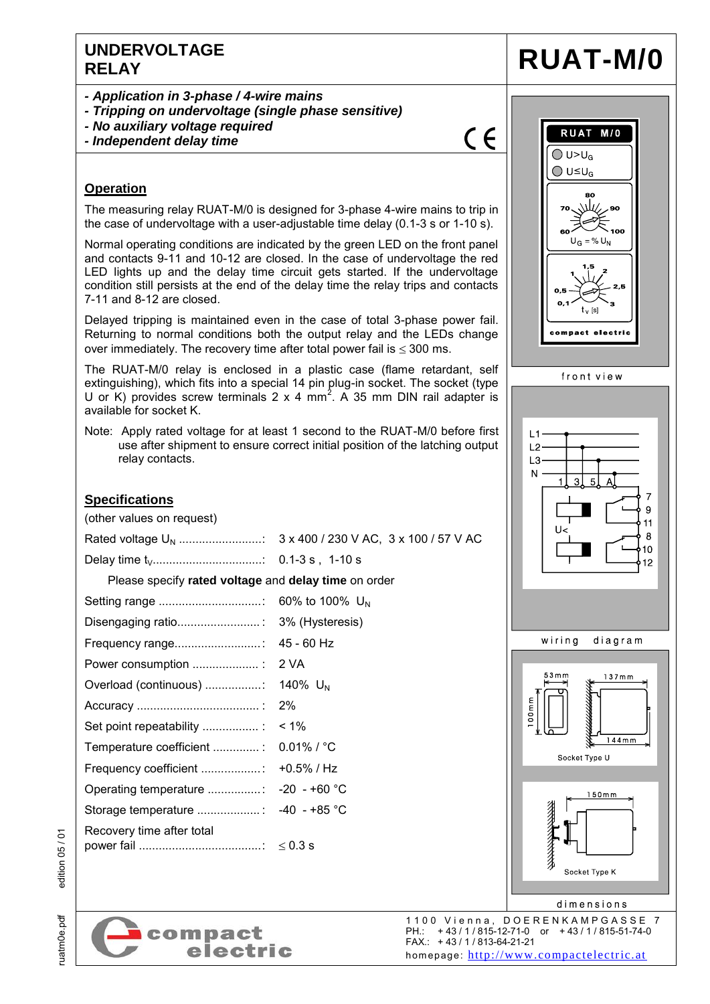## **UNDERVOLTAGE**

- *- Application in 3-phase / 4-wire mains*
- *- Tripping on undervoltage (single phase sensitive)*
- *- No auxiliary voltage required*
- *- Independent delay time*



## **Operation**

**Specifications**

(other values on request)

The measuring relay RUAT-M/0 is designed for 3-phase 4-wire mains to trip in the case of undervoltage with a user-adjustable time delay (0.1-3 s or 1-10 s).

Normal operating conditions are indicated by the green LED on the front panel and contacts 9-11 and 10-12 are closed. In the case of undervoltage the red LED lights up and the delay time circuit gets started. If the undervoltage condition still persists at the end of the delay time the relay trips and contacts 7-11 and 8-12 are closed.

Delayed tripping is maintained even in the case of total 3-phase power fail. Returning to normal conditions both the output relay and the LEDs change over immediately. The recovery time after total power fail is  $\leq 300$  ms.

The RUAT-M/0 relay is enclosed in a plastic case (flame retardant, self extinguishing), which fits into a special 14 pin plug-in socket. The socket (type U or K) provides screw terminals 2 x 4 mm<sup>2</sup>. A 35 mm DIN rail adapter is available for socket K.

Note: Apply rated voltage for at least 1 second to the RUAT-M/0 before first use after shipment to ensure correct initial position of the latching output relay contacts.

Rated voltage U<sub>N</sub> .......................: 3 x 400 / 230 V AC, 3 x 100 / 57 V AC

Delay time tV.................................: 0.1-3 s , 1-10 s

Setting range ...............................: 60% to 100% U<sup>N</sup> Disengaging ratio......................... : 3% (Hysteresis)

Frequency range..........................: 45 - 60 Hz

Overload (continuous) .................: 140% U<sup>N</sup>

Temperature coefficient .............. : 0.01% / °C Frequency coefficient ..................: +0.5% / Hz Operating temperature ................: -20 - +60 °C Storage temperature ................... : -40 - +85 °C

power fail .....................................: 0.3 s

Power consumption .................... : 2 VA

Accuracy ..................................... : 2% Set point repeatability ................. : < 1%

Please specify **rated voltage** and **delay time** on order





| ì<br>ć |   |
|--------|---|
| j<br>ì |   |
| i<br>i | : |

electric

Recovery time after total

ruatm0e.pdf